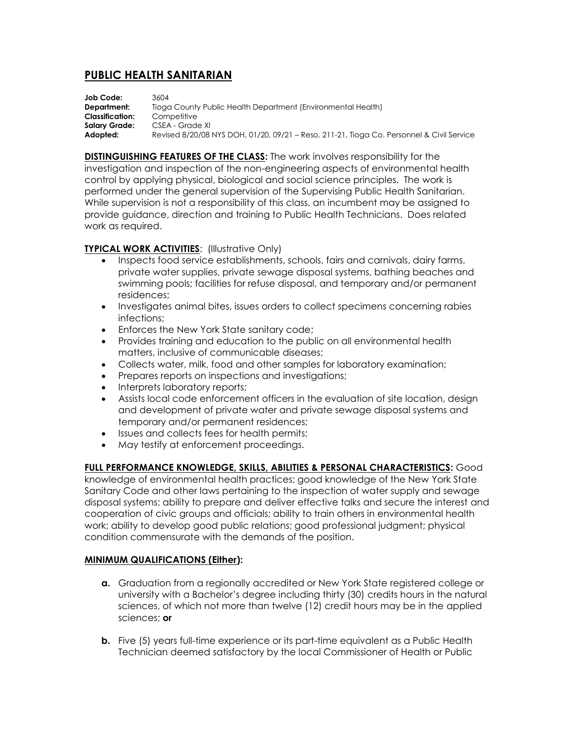# **PUBLIC HEALTH SANITARIAN**

**Job Code:** 3604 **Department:** Tioga County Public Health Department (Environmental Health) **Classification:** Competitive Salary Grade: CSEA - Grade XI **Adopted:** Revised 8/20/08 NYS DOH, 01/20, 09/21 – Reso. 211-21, Tioga Co. Personnel & Civil Service

**DISTINGUISHING FEATURES OF THE CLASS:** The work involves responsibility for the investigation and inspection of the non-engineering aspects of environmental health control by applying physical, biological and social science principles. The work is performed under the general supervision of the Supervising Public Health Sanitarian. While supervision is not a responsibility of this class, an incumbent may be assigned to provide guidance, direction and training to Public Health Technicians. Does related work as required.

# **TYPICAL WORK ACTIVITIES**: (Illustrative Only)

- Inspects food service establishments, schools, fairs and carnivals, dairy farms, private water supplies, private sewage disposal systems, bathing beaches and swimming pools; facilities for refuse disposal, and temporary and/or permanent residences;
- Investigates animal bites, issues orders to collect specimens concerning rabies infections;
- **•** Enforces the New York State sanitary code;
- Provides training and education to the public on all environmental health matters, inclusive of communicable diseases;
- Collects water, milk, food and other samples for laboratory examination;
- Prepares reports on inspections and investigations;
- Interprets laboratory reports;
- Assists local code enforcement officers in the evaluation of site location, design and development of private water and private sewage disposal systems and temporary and/or permanent residences;
- Issues and collects fees for health permits;
- May testify at enforcement proceedings.

**FULL PERFORMANCE KNOWLEDGE, SKILLS, ABILITIES & PERSONAL CHARACTERISTICS:** Good knowledge of environmental health practices; good knowledge of the New York State Sanitary Code and other laws pertaining to the inspection of water supply and sewage disposal systems; ability to prepare and deliver effective talks and secure the interest and cooperation of civic groups and officials; ability to train others in environmental health work; ability to develop good public relations; good professional judgment; physical condition commensurate with the demands of the position.

### **MINIMUM QUALIFICATIONS (Either):**

- **a.** Graduation from a regionally accredited or New York State registered college or university with a Bachelor's degree including thirty (30) credits hours in the natural sciences, of which not more than twelve (12) credit hours may be in the applied sciences; **or**
- **b.** Five (5) years full-time experience or its part-time equivalent as a Public Health Technician deemed satisfactory by the local Commissioner of Health or Public